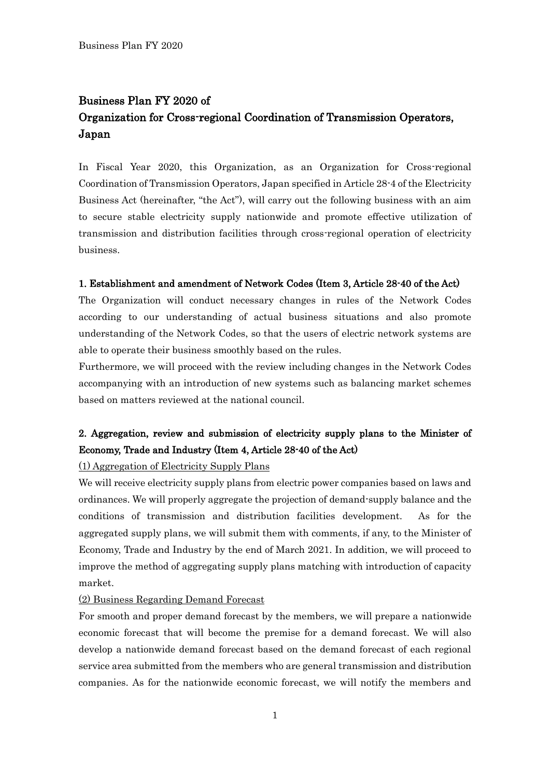# Business Plan FY 2020 of Organization for Cross-regional Coordination of Transmission Operators, Japan

In Fiscal Year 2020, this Organization, as an Organization for Cross-regional Coordination of Transmission Operators, Japan specified in Article 28-4 of the Electricity Business Act (hereinafter, "the Act"), will carry out the following business with an aim to secure stable electricity supply nationwide and promote effective utilization of transmission and distribution facilities through cross-regional operation of electricity business.

### 1. Establishment and amendment of Network Codes (Item 3, Article 28-40 of the Act)

The Organization will conduct necessary changes in rules of the Network Codes according to our understanding of actual business situations and also promote understanding of the Network Codes, so that the users of electric network systems are able to operate their business smoothly based on the rules.

Furthermore, we will proceed with the review including changes in the Network Codes accompanying with an introduction of new systems such as balancing market schemes based on matters reviewed at the national council.

# 2. Aggregation, review and submission of electricity supply plans to the Minister of Economy, Trade and Industry (Item 4, Article 28-40 of the Act)

### (1) Aggregation of Electricity Supply Plans

We will receive electricity supply plans from electric power companies based on laws and ordinances. We will properly aggregate the projection of demand-supply balance and the conditions of transmission and distribution facilities development. As for the aggregated supply plans, we will submit them with comments, if any, to the Minister of Economy, Trade and Industry by the end of March 2021. In addition, we will proceed to improve the method of aggregating supply plans matching with introduction of capacity market.

### (2) Business Regarding Demand Forecast

For smooth and proper demand forecast by the members, we will prepare a nationwide economic forecast that will become the premise for a demand forecast. We will also develop a nationwide demand forecast based on the demand forecast of each regional service area submitted from the members who are general transmission and distribution companies. As for the nationwide economic forecast, we will notify the members and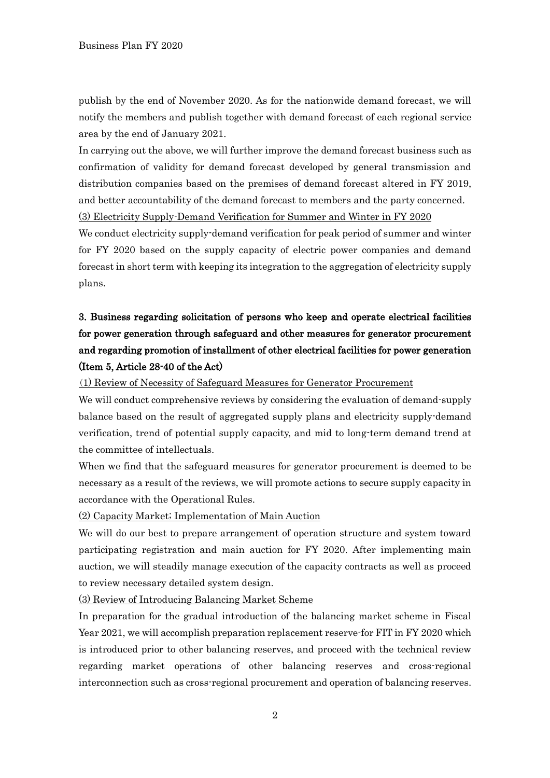publish by the end of November 2020. As for the nationwide demand forecast, we will notify the members and publish together with demand forecast of each regional service area by the end of January 2021.

In carrying out the above, we will further improve the demand forecast business such as confirmation of validity for demand forecast developed by general transmission and distribution companies based on the premises of demand forecast altered in FY 2019, and better accountability of the demand forecast to members and the party concerned. (3) Electricity Supply-Demand Verification for Summer and Winter in FY 2020

We conduct electricity supply-demand verification for peak period of summer and winter for FY 2020 based on the supply capacity of electric power companies and demand forecast in short term with keeping its integration to the aggregation of electricity supply plans.

# 3. Business regarding solicitation of persons who keep and operate electrical facilities for power generation through safeguard and other measures for generator procurement and regarding promotion of installment of other electrical facilities for power generation (Item 5, Article 28-40 of the Act)

(1) Review of Necessity of Safeguard Measures for Generator Procurement

We will conduct comprehensive reviews by considering the evaluation of demand-supply balance based on the result of aggregated supply plans and electricity supply-demand verification, trend of potential supply capacity, and mid to long-term demand trend at the committee of intellectuals.

When we find that the safeguard measures for generator procurement is deemed to be necessary as a result of the reviews, we will promote actions to secure supply capacity in accordance with the Operational Rules.

(2) Capacity Market; Implementation of Main Auction

We will do our best to prepare arrangement of operation structure and system toward participating registration and main auction for FY 2020. After implementing main auction, we will steadily manage execution of the capacity contracts as well as proceed to review necessary detailed system design.

(3) Review of Introducing Balancing Market Scheme

In preparation for the gradual introduction of the balancing market scheme in Fiscal Year 2021, we will accomplish preparation replacement reserve-for FIT in FY 2020 which is introduced prior to other balancing reserves, and proceed with the technical review regarding market operations of other balancing reserves and cross-regional interconnection such as cross-regional procurement and operation of balancing reserves.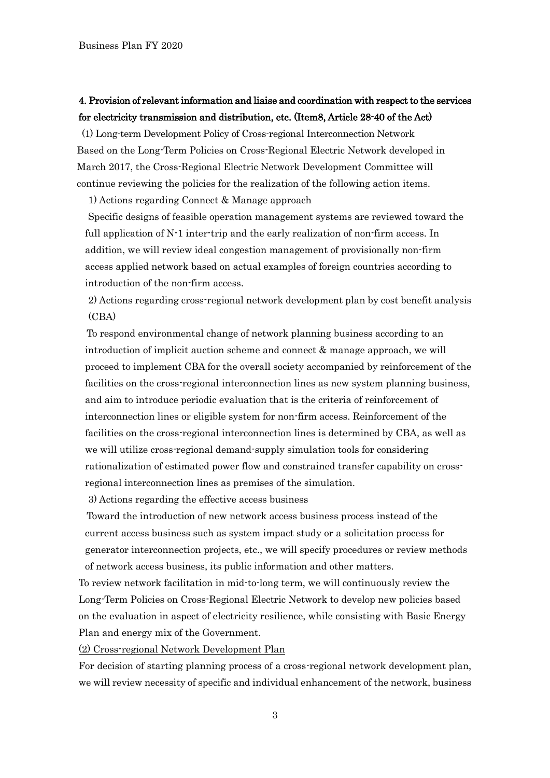# 4. Provision of relevant information and liaise and coordination with respect to the services for electricity transmission and distribution, etc. (Item8, Article 28-40 of the Act)

[(1) Long-term Development Policy of Cross-regional Interconnection Network Based on the Long-Term Policies on Cross-Regional Electric Network developed in March 2017, the Cross-Regional Electric Network Development Committee will continue reviewing the policies for the realization of the following action items.

1) Actions regarding Connect & Manage approach

Specific designs of feasible operation management systems are reviewed toward the full application of N-1 inter-trip and the early realization of non-firm access. In addition, we will review ideal congestion management of provisionally non-firm access applied network based on actual examples of foreign countries according to introduction of the non-firm access.

2) Actions regarding cross-regional network development plan by cost benefit analysis (CBA)

 To respond environmental change of network planning business according to an introduction of implicit auction scheme and connect & manage approach, we will proceed to implement CBA for the overall society accompanied by reinforcement of the facilities on the cross-regional interconnection lines as new system planning business, and aim to introduce periodic evaluation that is the criteria of reinforcement of interconnection lines or eligible system for non-firm access. Reinforcement of the facilities on the cross-regional interconnection lines is determined by CBA, as well as we will utilize cross-regional demand-supply simulation tools for considering rationalization of estimated power flow and constrained transfer capability on crossregional interconnection lines as premises of the simulation.

3) Actions regarding the effective access business

Toward the introduction of new network access business process instead of the current access business such as system impact study or a solicitation process for generator interconnection projects, etc., we will specify procedures or review methods of network access business, its public information and other matters.

To review network facilitation in mid-to-long term, we will continuously review the Long-Term Policies on Cross-Regional Electric Network to develop new policies based on the evaluation in aspect of electricity resilience, while consisting with Basic Energy Plan and energy mix of the Government.

(2) Cross-regional Network Development Plan

For decision of starting planning process of a cross-regional network development plan, we will review necessity of specific and individual enhancement of the network, business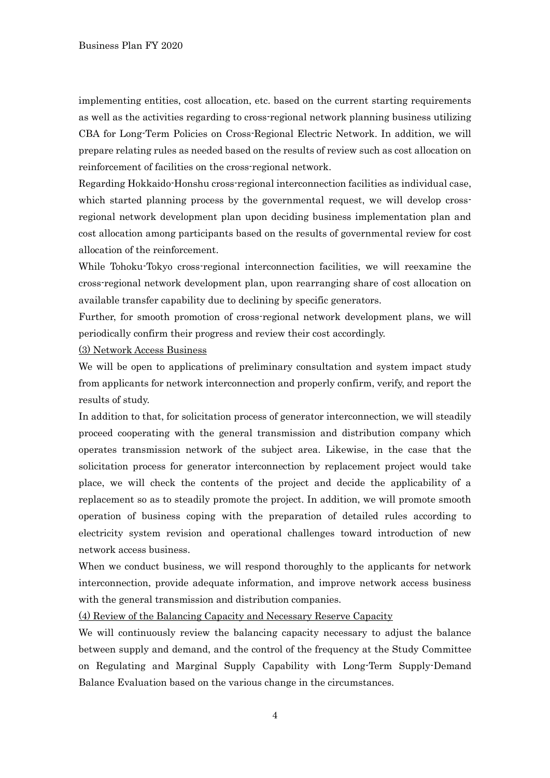implementing entities, cost allocation, etc. based on the current starting requirements as well as the activities regarding to cross-regional network planning business utilizing CBA for Long-Term Policies on Cross-Regional Electric Network. In addition, we will prepare relating rules as needed based on the results of review such as cost allocation on reinforcement of facilities on the cross-regional network.

Regarding Hokkaido-Honshu cross-regional interconnection facilities as individual case, which started planning process by the governmental request, we will develop crossregional network development plan upon deciding business implementation plan and cost allocation among participants based on the results of governmental review for cost allocation of the reinforcement.

While Tohoku-Tokyo cross-regional interconnection facilities, we will reexamine the cross-regional network development plan, upon rearranging share of cost allocation on available transfer capability due to declining by specific generators.

Further, for smooth promotion of cross-regional network development plans, we will periodically confirm their progress and review their cost accordingly.

(3) Network Access Business

We will be open to applications of preliminary consultation and system impact study from applicants for network interconnection and properly confirm, verify, and report the results of study.

In addition to that, for solicitation process of generator interconnection, we will steadily proceed cooperating with the general transmission and distribution company which operates transmission network of the subject area. Likewise, in the case that the solicitation process for generator interconnection by replacement project would take place, we will check the contents of the project and decide the applicability of a replacement so as to steadily promote the project. In addition, we will promote smooth operation of business coping with the preparation of detailed rules according to electricity system revision and operational challenges toward introduction of new network access business.

When we conduct business, we will respond thoroughly to the applicants for network interconnection, provide adequate information, and improve network access business with the general transmission and distribution companies.

(4) Review of the Balancing Capacity and Necessary Reserve Capacity

We will continuously review the balancing capacity necessary to adjust the balance between supply and demand, and the control of the frequency at the Study Committee on Regulating and Marginal Supply Capability with Long-Term Supply-Demand Balance Evaluation based on the various change in the circumstances.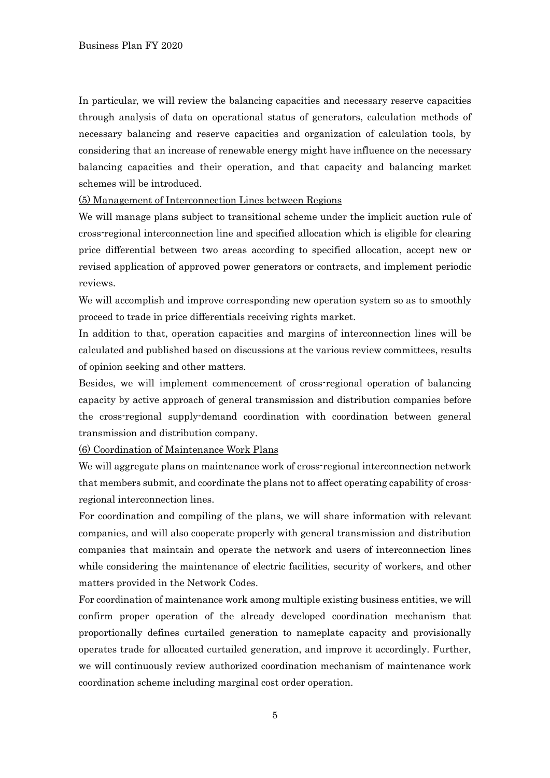In particular, we will review the balancing capacities and necessary reserve capacities through analysis of data on operational status of generators, calculation methods of necessary balancing and reserve capacities and organization of calculation tools, by considering that an increase of renewable energy might have influence on the necessary balancing capacities and their operation, and that capacity and balancing market schemes will be introduced.

(5) Management of Interconnection Lines between Regions

We will manage plans subject to transitional scheme under the implicit auction rule of cross-regional interconnection line and specified allocation which is eligible for clearing price differential between two areas according to specified allocation, accept new or revised application of approved power generators or contracts, and implement periodic reviews.

We will accomplish and improve corresponding new operation system so as to smoothly proceed to trade in price differentials receiving rights market.

In addition to that, operation capacities and margins of interconnection lines will be calculated and published based on discussions at the various review committees, results of opinion seeking and other matters.

Besides, we will implement commencement of cross-regional operation of balancing capacity by active approach of general transmission and distribution companies before the cross-regional supply-demand coordination with coordination between general transmission and distribution company.

(6) Coordination of Maintenance Work Plans

We will aggregate plans on maintenance work of cross-regional interconnection network that members submit, and coordinate the plans not to affect operating capability of crossregional interconnection lines.

For coordination and compiling of the plans, we will share information with relevant companies, and will also cooperate properly with general transmission and distribution companies that maintain and operate the network and users of interconnection lines while considering the maintenance of electric facilities, security of workers, and other matters provided in the Network Codes.

For coordination of maintenance work among multiple existing business entities, we will confirm proper operation of the already developed coordination mechanism that proportionally defines curtailed generation to nameplate capacity and provisionally operates trade for allocated curtailed generation, and improve it accordingly. Further, we will continuously review authorized coordination mechanism of maintenance work coordination scheme including marginal cost order operation.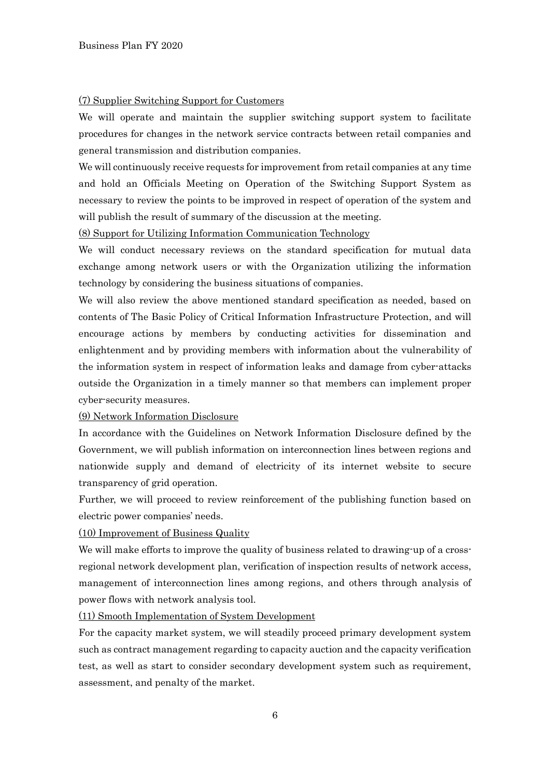#### (7) Supplier Switching Support for Customers

We will operate and maintain the supplier switching support system to facilitate procedures for changes in the network service contracts between retail companies and general transmission and distribution companies.

We will continuously receive requests for improvement from retail companies at any time and hold an Officials Meeting on Operation of the Switching Support System as necessary to review the points to be improved in respect of operation of the system and will publish the result of summary of the discussion at the meeting.

### (8) Support for Utilizing Information Communication Technology

We will conduct necessary reviews on the standard specification for mutual data exchange among network users or with the Organization utilizing the information technology by considering the business situations of companies.

We will also review the above mentioned standard specification as needed, based on contents of The Basic Policy of Critical Information Infrastructure Protection, and will encourage actions by members by conducting activities for dissemination and enlightenment and by providing members with information about the vulnerability of the information system in respect of information leaks and damage from cyber-attacks outside the Organization in a timely manner so that members can implement proper cyber-security measures.

#### (9) Network Information Disclosure

In accordance with the Guidelines on Network Information Disclosure defined by the Government, we will publish information on interconnection lines between regions and nationwide supply and demand of electricity of its internet website to secure transparency of grid operation.

Further, we will proceed to review reinforcement of the publishing function based on electric power companies' needs.

(10) Improvement of Business Quality

We will make efforts to improve the quality of business related to drawing-up of a crossregional network development plan, verification of inspection results of network access, management of interconnection lines among regions, and others through analysis of power flows with network analysis tool.

(11) Smooth Implementation of System Development

For the capacity market system, we will steadily proceed primary development system such as contract management regarding to capacity auction and the capacity verification test, as well as start to consider secondary development system such as requirement, assessment, and penalty of the market.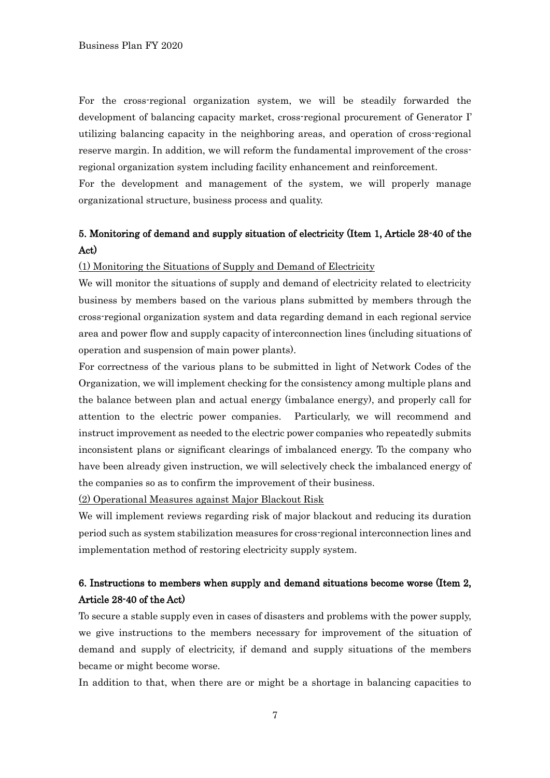For the cross-regional organization system, we will be steadily forwarded the development of balancing capacity market, cross-regional procurement of Generator I' utilizing balancing capacity in the neighboring areas, and operation of cross-regional reserve margin. In addition, we will reform the fundamental improvement of the crossregional organization system including facility enhancement and reinforcement.

For the development and management of the system, we will properly manage organizational structure, business process and quality.

# 5. Monitoring of demand and supply situation of electricity (Item 1, Article 28-40 of the Act)

#### (1) Monitoring the Situations of Supply and Demand of Electricity

We will monitor the situations of supply and demand of electricity related to electricity business by members based on the various plans submitted by members through the cross-regional organization system and data regarding demand in each regional service area and power flow and supply capacity of interconnection lines (including situations of operation and suspension of main power plants).

For correctness of the various plans to be submitted in light of Network Codes of the Organization, we will implement checking for the consistency among multiple plans and the balance between plan and actual energy (imbalance energy), and properly call for attention to the electric power companies. Particularly, we will recommend and instruct improvement as needed to the electric power companies who repeatedly submits inconsistent plans or significant clearings of imbalanced energy. To the company who have been already given instruction, we will selectively check the imbalanced energy of the companies so as to confirm the improvement of their business.

(2) Operational Measures against Major Blackout Risk

We will implement reviews regarding risk of major blackout and reducing its duration period such as system stabilization measures for cross-regional interconnection lines and implementation method of restoring electricity supply system.

# 6. Instructions to members when supply and demand situations become worse (Item 2, Article 28-40 of the Act)

To secure a stable supply even in cases of disasters and problems with the power supply, we give instructions to the members necessary for improvement of the situation of demand and supply of electricity, if demand and supply situations of the members became or might become worse.

In addition to that, when there are or might be a shortage in balancing capacities to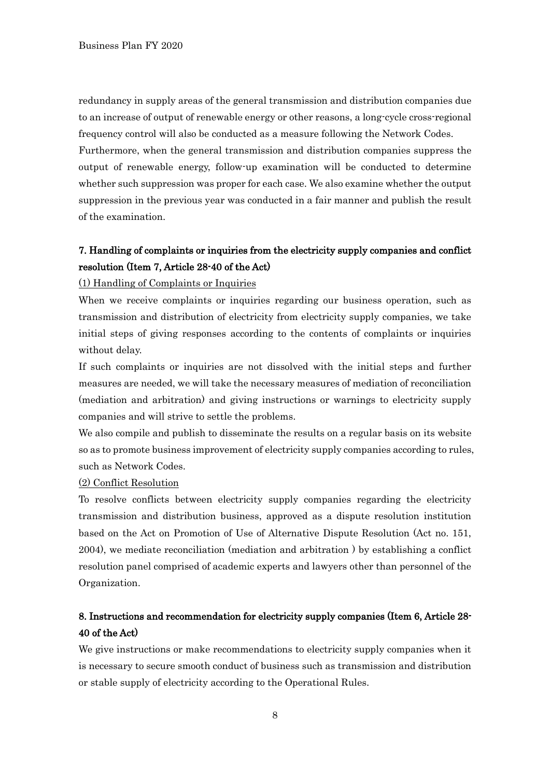redundancy in supply areas of the general transmission and distribution companies due to an increase of output of renewable energy or other reasons, a long-cycle cross-regional frequency control will also be conducted as a measure following the Network Codes. Furthermore, when the general transmission and distribution companies suppress the output of renewable energy, follow-up examination will be conducted to determine whether such suppression was proper for each case. We also examine whether the output suppression in the previous year was conducted in a fair manner and publish the result of the examination.

## 7. Handling of complaints or inquiries from the electricity supply companies and conflict resolution (Item 7, Article 28-40 of the Act)

#### (1) Handling of Complaints or Inquiries

When we receive complaints or inquiries regarding our business operation, such as transmission and distribution of electricity from electricity supply companies, we take initial steps of giving responses according to the contents of complaints or inquiries without delay.

If such complaints or inquiries are not dissolved with the initial steps and further measures are needed, we will take the necessary measures of mediation of reconciliation (mediation and arbitration) and giving instructions or warnings to electricity supply companies and will strive to settle the problems.

We also compile and publish to disseminate the results on a regular basis on its website so as to promote business improvement of electricity supply companies according to rules, such as Network Codes.

### (2) Conflict Resolution

To resolve conflicts between electricity supply companies regarding the electricity transmission and distribution business, approved as a dispute resolution institution based on the Act on Promotion of Use of Alternative Dispute Resolution (Act no. 151, 2004), we mediate reconciliation (mediation and arbitration ) by establishing a conflict resolution panel comprised of academic experts and lawyers other than personnel of the Organization.

# 8. Instructions and recommendation for electricity supply companies (Item 6, Article 28- 40 of the Act)

We give instructions or make recommendations to electricity supply companies when it is necessary to secure smooth conduct of business such as transmission and distribution or stable supply of electricity according to the Operational Rules.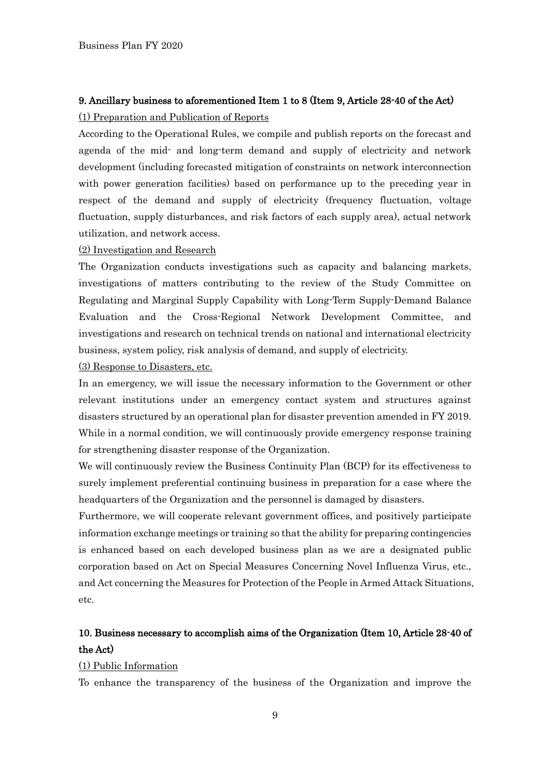### 9. Ancillary business to aforementioned Item 1 to 8 (Item 9, Article 28-40 of the Act)

### (1) Preparation and Publication of Reports

According to the Operational Rules, we compile and publish reports on the forecast and agenda of the mid- and long-term demand and supply of electricity and network development (including forecasted mitigation of constraints on network interconnection with power generation facilities) based on performance up to the preceding year in respect of the demand and supply of electricity (frequency fluctuation, voltage fluctuation, supply disturbances, and risk factors of each supply area), actual network utilization, and network access.

### (2) Investigation and Research

The Organization conducts investigations such as capacity and balancing markets, investigations of matters contributing to the review of the Study Committee on Regulating and Marginal Supply Capability with Long-Term Supply-Demand Balance Evaluation and the Cross-Regional Network Development Committee, and investigations and research on technical trends on national and international electricity business, system policy, risk analysis of demand, and supply of electricity.

#### (3) Response to Disasters, etc.

In an emergency, we will issue the necessary information to the Government or other relevant institutions under an emergency contact system and structures against disasters structured by an operational plan for disaster prevention amended in FY 2019. While in a normal condition, we will continuously provide emergency response training for strengthening disaster response of the Organization.

We will continuously review the Business Continuity Plan (BCP) for its effectiveness to surely implement preferential continuing business in preparation for a case where the headquarters of the Organization and the personnel is damaged by disasters.

Furthermore, we will cooperate relevant government offices, and positively participate information exchange meetings or training so that the ability for preparing contingencies is enhanced based on each developed business plan as we are a designated public corporation based on Act on Special Measures Concerning Novel Influenza Virus, etc., and Act concerning the Measures for Protection of the People in Armed Attack Situations, etc.

# 10. Business necessary to accomplish aims of the Organization (Item 10, Article 28-40 of the Act)

#### (1) Public Information

To enhance the transparency of the business of the Organization and improve the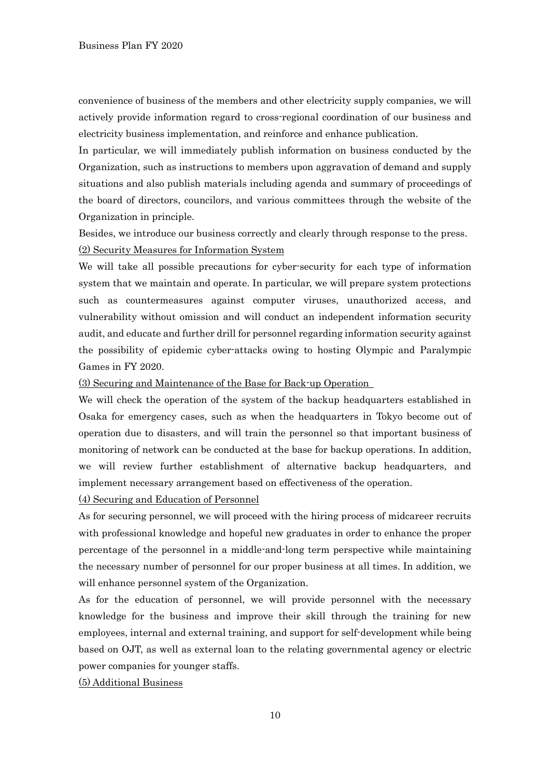convenience of business of the members and other electricity supply companies, we will actively provide information regard to cross-regional coordination of our business and electricity business implementation, and reinforce and enhance publication.

In particular, we will immediately publish information on business conducted by the Organization, such as instructions to members upon aggravation of demand and supply situations and also publish materials including agenda and summary of proceedings of the board of directors, councilors, and various committees through the website of the Organization in principle.

Besides, we introduce our business correctly and clearly through response to the press. (2) Security Measures for Information System

We will take all possible precautions for cyber-security for each type of information system that we maintain and operate. In particular, we will prepare system protections such as countermeasures against computer viruses, unauthorized access, and vulnerability without omission and will conduct an independent information security audit, and educate and further drill for personnel regarding information security against the possibility of epidemic cyber-attacks owing to hosting Olympic and Paralympic Games in FY 2020.

(3) Securing and Maintenance of the Base for Back-up Operation

We will check the operation of the system of the backup headquarters established in Osaka for emergency cases, such as when the headquarters in Tokyo become out of operation due to disasters, and will train the personnel so that important business of monitoring of network can be conducted at the base for backup operations. In addition, we will review further establishment of alternative backup headquarters, and implement necessary arrangement based on effectiveness of the operation.

(4) Securing and Education of Personnel

As for securing personnel, we will proceed with the hiring process of midcareer recruits with professional knowledge and hopeful new graduates in order to enhance the proper percentage of the personnel in a middle-and-long term perspective while maintaining the necessary number of personnel for our proper business at all times. In addition, we will enhance personnel system of the Organization.

As for the education of personnel, we will provide personnel with the necessary knowledge for the business and improve their skill through the training for new employees, internal and external training, and support for self-development while being based on OJT, as well as external loan to the relating governmental agency or electric power companies for younger staffs.

### (5) Additional Business